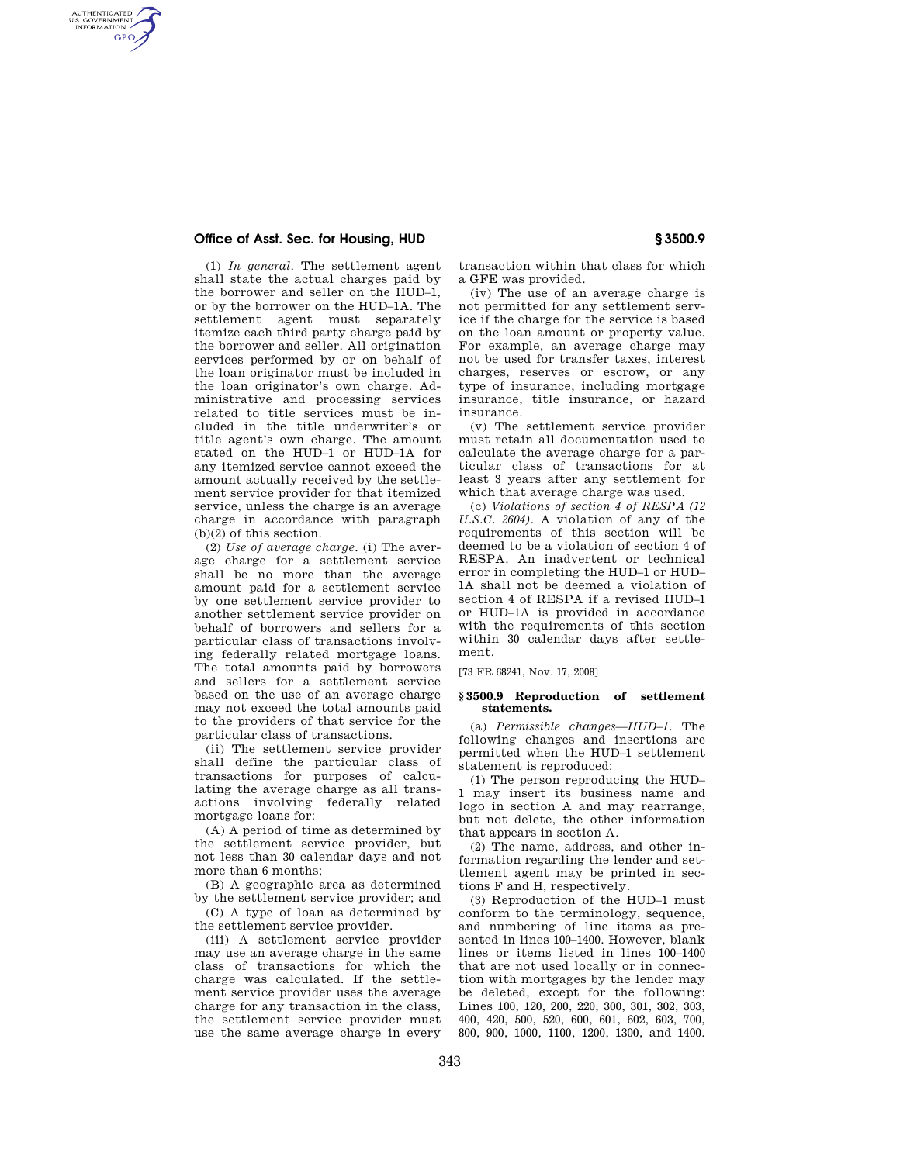## **Office of Asst. Sec. for Housing, HUD § 3500.9**

AUTHENTICATED<br>U.S. GOVERNMENT<br>INFORMATION **GPO** 

> (1) *In general*. The settlement agent shall state the actual charges paid by the borrower and seller on the HUD–1, or by the borrower on the HUD–1A. The settlement agent must separately itemize each third party charge paid by the borrower and seller. All origination services performed by or on behalf of the loan originator must be included in the loan originator's own charge. Administrative and processing services related to title services must be included in the title underwriter's or title agent's own charge. The amount stated on the HUD–1 or HUD–1A for any itemized service cannot exceed the amount actually received by the settlement service provider for that itemized service, unless the charge is an average charge in accordance with paragraph (b)(2) of this section.

> (2) *Use of average charge*. (i) The average charge for a settlement service shall be no more than the average amount paid for a settlement service by one settlement service provider to another settlement service provider on behalf of borrowers and sellers for a particular class of transactions involving federally related mortgage loans. The total amounts paid by borrowers and sellers for a settlement service based on the use of an average charge may not exceed the total amounts paid to the providers of that service for the particular class of transactions.

> (ii) The settlement service provider shall define the particular class of transactions for purposes of calculating the average charge as all transactions involving federally related mortgage loans for:

> (A) A period of time as determined by the settlement service provider, but not less than 30 calendar days and not more than 6 months;

> (B) A geographic area as determined by the settlement service provider; and

> (C) A type of loan as determined by the settlement service provider.

(iii) A settlement service provider may use an average charge in the same class of transactions for which the charge was calculated. If the settlement service provider uses the average charge for any transaction in the class, the settlement service provider must use the same average charge in every transaction within that class for which a GFE was provided.

(iv) The use of an average charge is not permitted for any settlement service if the charge for the service is based on the loan amount or property value. For example, an average charge may not be used for transfer taxes, interest charges, reserves or escrow, or any type of insurance, including mortgage insurance, title insurance, or hazard insurance.

(v) The settlement service provider must retain all documentation used to calculate the average charge for a particular class of transactions for at least 3 years after any settlement for which that average charge was used.

(c) *Violations of section 4 of RESPA (12 U.S.C. 2604)*. A violation of any of the requirements of this section will be deemed to be a violation of section 4 of RESPA. An inadvertent or technical error in completing the HUD–1 or HUD– 1A shall not be deemed a violation of section 4 of RESPA if a revised HUD–1 or HUD–1A is provided in accordance with the requirements of this section within 30 calendar days after settlement.

[73 FR 68241, Nov. 17, 2008]

## **§ 3500.9 Reproduction of settlement statements.**

(a) *Permissible changes—HUD–1.* The following changes and insertions are permitted when the HUD–1 settlement statement is reproduced:

(1) The person reproducing the HUD– 1 may insert its business name and logo in section A and may rearrange, but not delete, the other information that appears in section A.

(2) The name, address, and other information regarding the lender and settlement agent may be printed in sections F and H, respectively.

(3) Reproduction of the HUD–1 must conform to the terminology, sequence, and numbering of line items as presented in lines 100–1400. However, blank lines or items listed in lines 100–1400 that are not used locally or in connection with mortgages by the lender may be deleted, except for the following: Lines 100, 120, 200, 220, 300, 301, 302, 303, 400, 420, 500, 520, 600, 601, 602, 603, 700, 800, 900, 1000, 1100, 1200, 1300, and 1400.